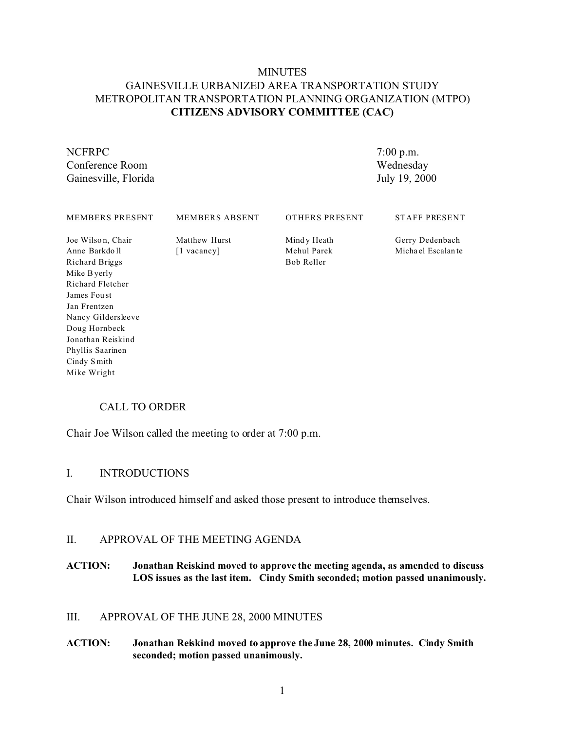## MINUTES GAINESVILLE URBANIZED AREA TRANSPORTATION STUDY METROPOLITAN TRANSPORTATION PLANNING ORGANIZATION (MTPO) **CITIZENS ADVISORY COMMITTEE (CAC)**

### NCFRPC Conference Room Gainesville, Florida

7:00 p.m. Wednesday July 19, 2000

#### MEMBERS PRESENT

#### MEMBERS ABSENT

OTHERS PRESENT

#### STAFF PRESENT

Joe Wilson, Chair Anne Barkdo ll Richard Briggs Mike Byerly Richard Fletcher James Fou st Jan Frentzen Nancy Gildersleeve Doug Hornbeck Jonathan Reiskind Phyllis Saarinen Cindy S mith Mike Wright

Matthew Hurst [1 vacancy]

Mind y Heath Mehul Parek Bob Reller

Gerry Dedenbach Micha el Escalan te

## CALL TO ORDER

Chair Joe Wilson called the meeting to order at 7:00 p.m.

### I. INTRODUCTIONS

Chair Wilson introduced himself and asked those present to introduce themselves.

### II. APPROVAL OF THE MEETING AGENDA

### **ACTION: Jonathan Reiskind moved to approve the meeting agenda, as amended to discuss LOS issues as the last item. Cindy Smith seconded; motion passed unanimously.**

### III. APPROVAL OF THE JUNE 28, 2000 MINUTES

#### **ACTION: Jonathan Reiskind moved to approve the June 28, 2000 minutes. Cindy Smith seconded; motion passed unanimously.**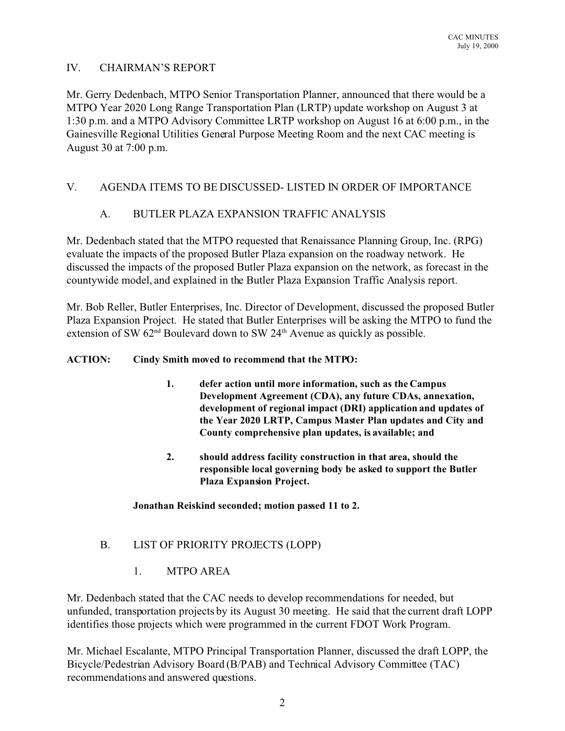## IV. CHAIRMAN'S REPORT

Mr. Gerry Dedenbach, MTPO Senior Transportation Planner, announced that there would be a MTPO Year 2020 Long Range Transportation Plan (LRTP) update workshop on August 3 at 1:30 p.m. and a MTPO Advisory Committee LRTP workshop on August 16 at 6:00 p.m., in the Gainesville Regional Utilities General Purpose Meeting Room and the next CAC meeting is August 30 at 7:00 p.m.

# V. AGENDA ITEMS TO BE DISCUSSED- LISTED IN ORDER OF IMPORTANCE

# A. BUTLER PLAZA EXPANSION TRAFFIC ANALYSIS

Mr. Dedenbach stated that the MTPO requested that Renaissance Planning Group, Inc. (RPG) evaluate the impacts of the proposed Butler Plaza expansion on the roadway network. He discussed the impacts of the proposed Butler Plaza expansion on the network, as forecast in the countywide model, and explained in the Butler Plaza Expansion Traffic Analysis report.

Mr. Bob Reller, Butler Enterprises, Inc. Director of Development, discussed the proposed Butler Plaza Expansion Project. He stated that Butler Enterprises will be asking the MTPO to fund the extension of SW  $62<sup>nd</sup>$  Boulevard down to SW  $24<sup>th</sup>$  Avenue as quickly as possible.

### **ACTION: Cindy Smith moved to recommend that the MTPO:**

- **1. defer action until more information, such as the Campus Development Agreement (CDA), any future CDAs, annexation, development of regional impact (DRI) application and updates of the Year 2020 LRTP, Campus Master Plan updates and City and County comprehensive plan updates, is available; and**
- **2. should address facility construction in that area, should the responsible local governing body be asked to support the Butler Plaza Expansion Project.**

### **Jonathan Reiskind seconded; motion passed 11 to 2.**

## B. LIST OF PRIORITY PROJECTS (LOPP)

1. MTPO AREA

Mr. Dedenbach stated that the CAC needs to develop recommendations for needed, but unfunded, transportation projects by its August 30 meeting. He said that the current draft LOPP identifies those projects which were programmed in the current FDOT Work Program.

Mr. Michael Escalante, MTPO Principal Transportation Planner, discussed the draft LOPP, the Bicycle/Pedestrian Advisory Board (B/PAB) and Technical Advisory Committee (TAC) recommendations and answered questions.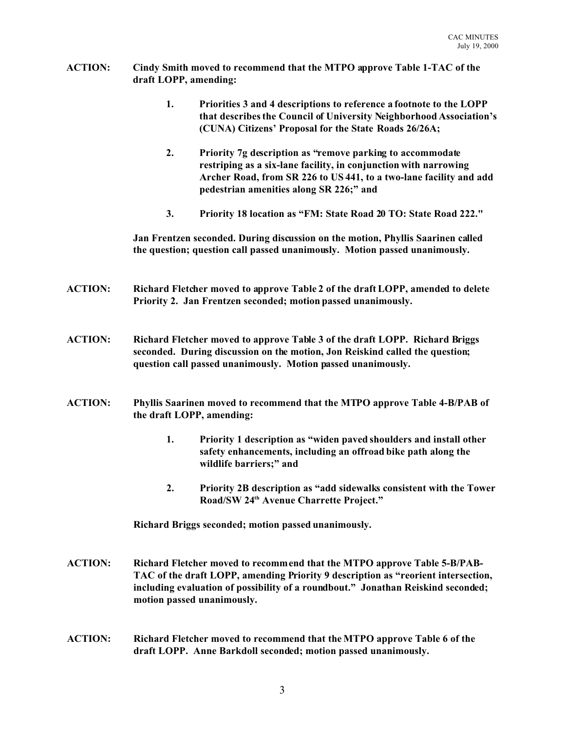- **ACTION: Cindy Smith moved to recommend that the MTPO approve Table 1-TAC of the draft LOPP, amending:**
	- **1. Priorities 3 and 4 descriptions to reference a footnote to the LOPP that describes the Council of University Neighborhood Association's (CUNA) Citizens' Proposal for the State Roads 26/26A;**
	- **2. Priority 7g description as "remove parking to accommodate restriping as a six-lane facility, in conjunction with narrowing Archer Road, from SR 226 to US 441, to a two-lane facility and add pedestrian amenities along SR 226;" and**
	- **3. Priority 18 location as "FM: State Road 20 TO: State Road 222."**

**Jan Frentzen seconded. During discussion on the motion, Phyllis Saarinen called the question; question call passed unanimously. Motion passed unanimously.**

- **ACTION: Richard Fletcher moved to approve Table 2 of the draft LOPP, amended to delete Priority 2. Jan Frentzen seconded; motion passed unanimously.**
- **ACTION: Richard Fletcher moved to approve Table 3 of the draft LOPP. Richard Briggs seconded. During discussion on the motion, Jon Reiskind called the question; question call passed unanimously. Motion passed unanimously.**
- **ACTION: Phyllis Saarinen moved to recommend that the MTPO approve Table 4-B/PAB of the draft LOPP, amending:**
	- **1. Priority 1 description as "widen paved shoulders and install other safety enhancements, including an offroad bike path along the wildlife barriers;" and**
	- **2. Priority 2B description as "add sidewalks consistent with the Tower Road/SW 24th Avenue Charrette Project."**

**Richard Briggs seconded; motion passed unanimously.**

- **ACTION: Richard Fletcher moved to recommend that the MTPO approve Table 5-B/PAB-TAC of the draft LOPP, amending Priority 9 description as "reorient intersection, including evaluation of possibility of a roundbout." Jonathan Reiskind seconded; motion passed unanimously.**
- **ACTION: Richard Fletcher moved to recommend that the MTPO approve Table 6 of the draft LOPP. Anne Barkdoll seconded; motion passed unanimously.**